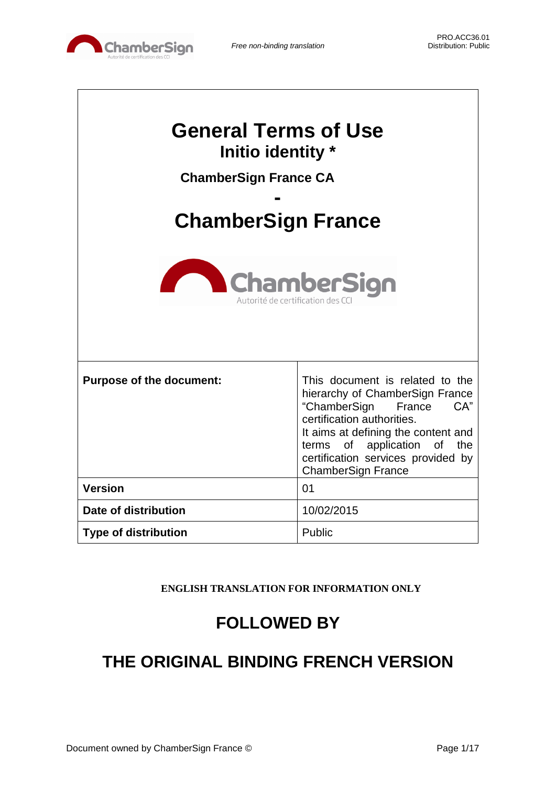

| <b>General Terms of Use</b><br>Initio identity *<br><b>ChamberSign France CA</b><br><b>ChamberSign France</b><br><b>ChamberSign</b><br>Autorité de certification des C |                                                                                                                                                                                                                                                                               |  |
|------------------------------------------------------------------------------------------------------------------------------------------------------------------------|-------------------------------------------------------------------------------------------------------------------------------------------------------------------------------------------------------------------------------------------------------------------------------|--|
| <b>Purpose of the document:</b>                                                                                                                                        | This document is related to the<br>hierarchy of ChamberSign France<br>"ChamberSign France<br>CA"<br>certification authorities.<br>It aims at defining the content and<br>of application of<br>the<br>terms<br>certification services provided by<br><b>ChamberSign France</b> |  |
| <b>Version</b>                                                                                                                                                         | 01                                                                                                                                                                                                                                                                            |  |
| Date of distribution                                                                                                                                                   | 10/02/2015                                                                                                                                                                                                                                                                    |  |
| <b>Type of distribution</b>                                                                                                                                            | Public                                                                                                                                                                                                                                                                        |  |

**ENGLISH TRANSLATION FOR INFORMATION ONLY**

# **FOLLOWED BY**

# **THE ORIGINAL BINDING FRENCH VERSION**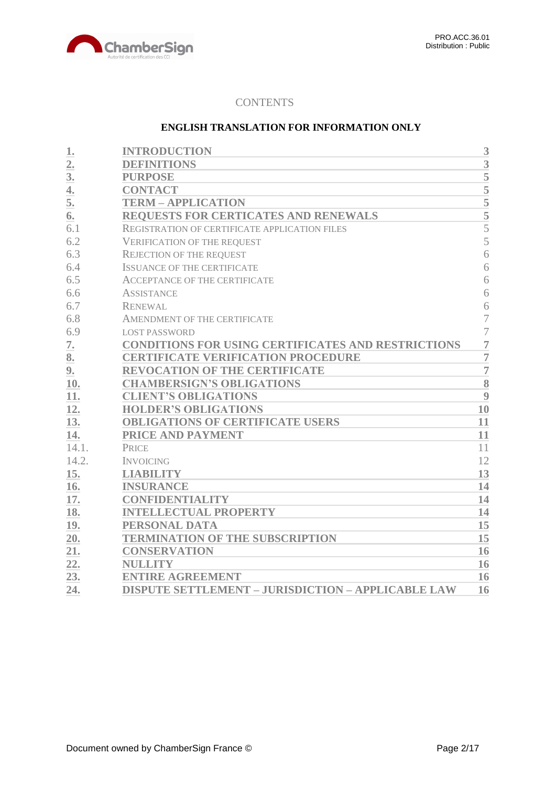

## **CONTENTS**

### **ENGLISH TRANSLATION FOR INFORMATION ONLY**

| 1.               | <b>INTRODUCTION</b>                                       | 3              |
|------------------|-----------------------------------------------------------|----------------|
| $\overline{2}$ . | <b>DEFINITIONS</b>                                        | 3              |
| 3 <sub>l</sub>   | <b>PURPOSE</b>                                            | 5              |
| 4.               | <b>CONTACT</b>                                            | $\overline{5}$ |
| 5.               | <b>TERM - APPLICATION</b>                                 |                |
| 6.               | REQUESTS FOR CERTICATES AND RENEWALS                      | $\frac{5}{5}$  |
| 6.1              | REGISTRATION OF CERTIFICATE APPLICATION FILES             | $\overline{5}$ |
| 6.2              | <b>VERIFICATION OF THE REQUEST</b>                        | 5              |
| 6.3              | <b>REJECTION OF THE REQUEST</b>                           | 6              |
| 6.4              | <b>ISSUANCE OF THE CERTIFICATE</b>                        | 6              |
| 6.5              | <b>ACCEPTANCE OF THE CERTIFICATE</b>                      | 6              |
| 6.6              | <b>ASSISTANCE</b>                                         | 6              |
| 6.7              | <b>RENEWAL</b>                                            | 6              |
| 6.8              | AMENDMENT OF THE CERTIFICATE                              | $\overline{7}$ |
| 6.9              | <b>LOST PASSWORD</b>                                      | $\overline{7}$ |
| 7.               | <b>CONDITIONS FOR USING CERTIFICATES AND RESTRICTIONS</b> | $\overline{7}$ |
| 8.               | <b>CERTIFICATE VERIFICATION PROCEDURE</b>                 | $\overline{7}$ |
| 9.               | <b>REVOCATION OF THE CERTIFICATE</b>                      | $\overline{7}$ |
| 10.              | <b>CHAMBERSIGN'S OBLIGATIONS</b>                          | 8              |
| 11.              | <b>CLIENT'S OBLIGATIONS</b>                               | 9              |
| 12.              | <b>HOLDER'S OBLIGATIONS</b>                               | 10             |
| 13.              | <b>OBLIGATIONS OF CERTIFICATE USERS</b>                   | 11             |
| 14.              | PRICE AND PAYMENT                                         | 11             |
| 14.1.            | <b>PRICE</b>                                              | 11             |
| 14.2.            | <b>INVOICING</b>                                          | 12             |
| 15.              | <b>LIABILITY</b>                                          | 13             |
| 16.              | <b>INSURANCE</b>                                          | 14             |
| 17.              | <b>CONFIDENTIALITY</b>                                    | 14             |
| 18.              | <b>INTELLECTUAL PROPERTY</b>                              | 14             |
| 19.              | PERSONAL DATA                                             | 15             |
| 20.              | <b>TERMINATION OF THE SUBSCRIPTION</b>                    | 15             |
| 21.              | <b>CONSERVATION</b>                                       | 16             |
| 22.              | <b>NULLITY</b>                                            | 16             |
| 23.              | <b>ENTIRE AGREEMENT</b>                                   | 16             |
| 24.              | <b>DISPUTE SETTLEMENT - JURISDICTION - APPLICABLE LAW</b> | 16             |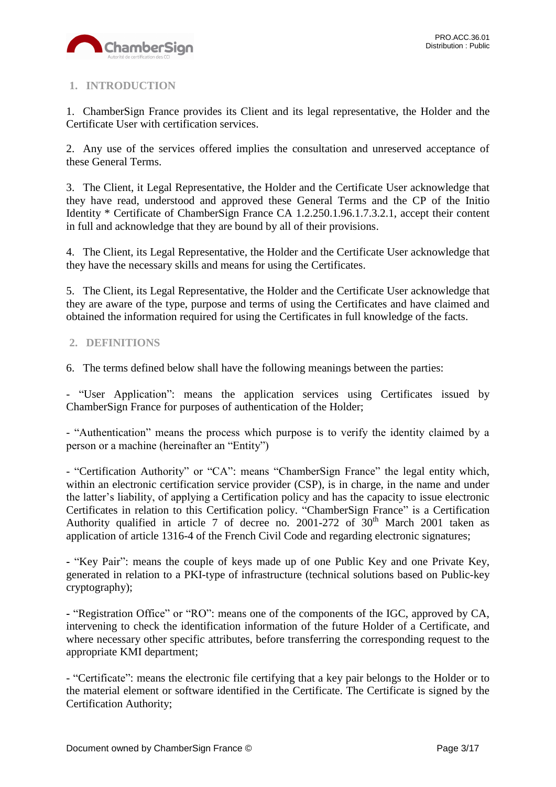

# <span id="page-2-0"></span>**1. INTRODUCTION**

1. ChamberSign France provides its Client and its legal representative, the Holder and the Certificate User with certification services.

2. Any use of the services offered implies the consultation and unreserved acceptance of these General Terms.

3. The Client, it Legal Representative, the Holder and the Certificate User acknowledge that they have read, understood and approved these General Terms and the CP of the Initio Identity \* Certificate of ChamberSign France CA 1.2.250.1.96.1.7.3.2.1, accept their content in full and acknowledge that they are bound by all of their provisions.

4. The Client, its Legal Representative, the Holder and the Certificate User acknowledge that they have the necessary skills and means for using the Certificates.

5. The Client, its Legal Representative, the Holder and the Certificate User acknowledge that they are aware of the type, purpose and terms of using the Certificates and have claimed and obtained the information required for using the Certificates in full knowledge of the facts.

## <span id="page-2-1"></span>**2. DEFINITIONS**

6. The terms defined below shall have the following meanings between the parties:

- "User Application": means the application services using Certificates issued by ChamberSign France for purposes of authentication of the Holder;

- "Authentication" means the process which purpose is to verify the identity claimed by a person or a machine (hereinafter an "Entity")

- "Certification Authority" or "CA": means "ChamberSign France" the legal entity which, within an electronic certification service provider (CSP), is in charge, in the name and under the latter's liability, of applying a Certification policy and has the capacity to issue electronic Certificates in relation to this Certification policy. "ChamberSign France" is a Certification Authority qualified in article 7 of decree no. 2001-272 of  $30<sup>th</sup>$  March 2001 taken as application of article 1316-4 of the French Civil Code and regarding electronic signatures;

**-** "Key Pair": means the couple of keys made up of one Public Key and one Private Key, generated in relation to a PKI-type of infrastructure (technical solutions based on Public-key cryptography);

**-** "Registration Office" or "RO": means one of the components of the IGC, approved by CA, intervening to check the identification information of the future Holder of a Certificate, and where necessary other specific attributes, before transferring the corresponding request to the appropriate KMI department;

- "Certificate": means the electronic file certifying that a key pair belongs to the Holder or to the material element or software identified in the Certificate. The Certificate is signed by the Certification Authority;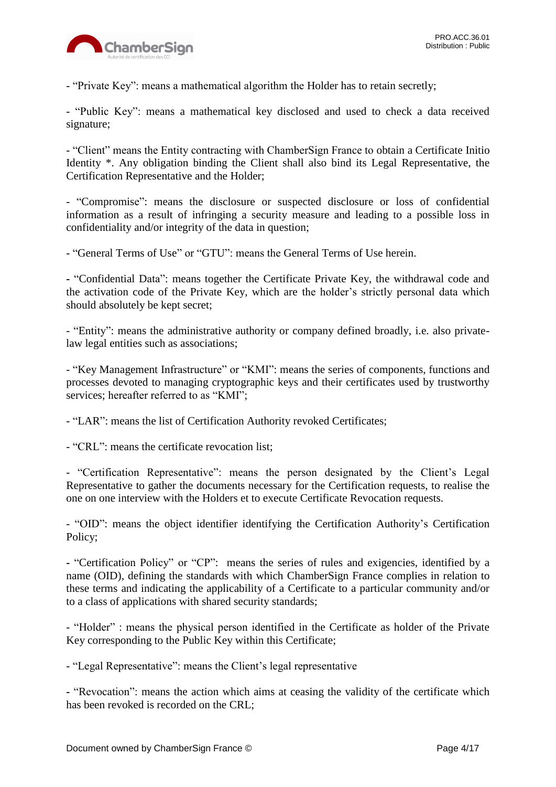

- "Private Key": means a mathematical algorithm the Holder has to retain secretly;

- "Public Key": means a mathematical key disclosed and used to check a data received signature;

- "Client" means the Entity contracting with ChamberSign France to obtain a Certificate Initio Identity \*. Any obligation binding the Client shall also bind its Legal Representative, the Certification Representative and the Holder;

- "Compromise": means the disclosure or suspected disclosure or loss of confidential information as a result of infringing a security measure and leading to a possible loss in confidentiality and/or integrity of the data in question;

- "General Terms of Use" or "GTU": means the General Terms of Use herein.

**-** "Confidential Data": means together the Certificate Private Key, the withdrawal code and the activation code of the Private Key, which are the holder's strictly personal data which should absolutely be kept secret;

- "Entity": means the administrative authority or company defined broadly, i.e. also privatelaw legal entities such as associations;

- "Key Management Infrastructure" or "KMI": means the series of components, functions and processes devoted to managing cryptographic keys and their certificates used by trustworthy services; hereafter referred to as "KMI";

- "LAR": means the list of Certification Authority revoked Certificates;

- "CRL": means the certificate revocation list;

- "Certification Representative": means the person designated by the Client's Legal Representative to gather the documents necessary for the Certification requests, to realise the one on one interview with the Holders et to execute Certificate Revocation requests.

- "OID": means the object identifier identifying the Certification Authority's Certification Policy;

**-** "Certification Policy" or "CP": means the series of rules and exigencies, identified by a name (OID), defining the standards with which ChamberSign France complies in relation to these terms and indicating the applicability of a Certificate to a particular community and/or to a class of applications with shared security standards;

- "Holder" : means the physical person identified in the Certificate as holder of the Private Key corresponding to the Public Key within this Certificate;

- "Legal Representative": means the Client's legal representative

**-** "Revocation": means the action which aims at ceasing the validity of the certificate which has been revoked is recorded on the CRL;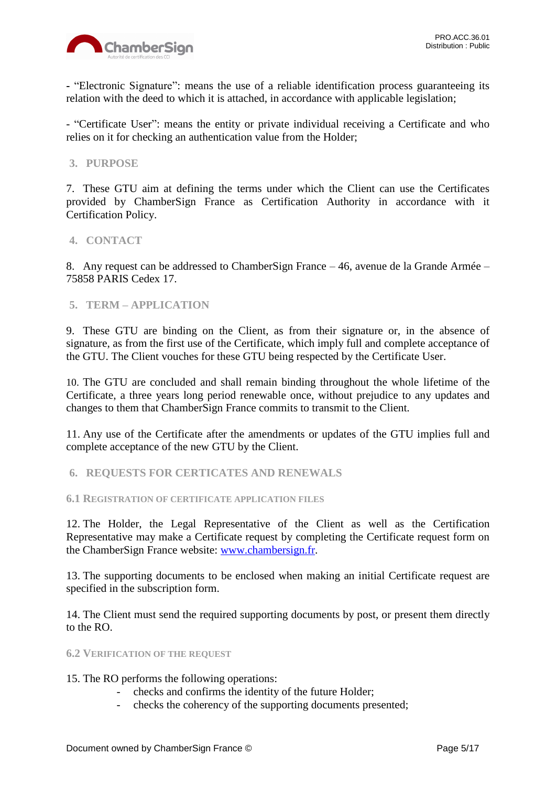

**-** "Electronic Signature": means the use of a reliable identification process guaranteeing its relation with the deed to which it is attached, in accordance with applicable legislation;

- "Certificate User": means the entity or private individual receiving a Certificate and who relies on it for checking an authentication value from the Holder;

### <span id="page-4-0"></span>**3. PURPOSE**

7. These GTU aim at defining the terms under which the Client can use the Certificates provided by ChamberSign France as Certification Authority in accordance with it Certification Policy.

#### <span id="page-4-1"></span>**4. CONTACT**

8. Any request can be addressed to ChamberSign France – 46, avenue de la Grande Armée – 75858 PARIS Cedex 17.

### <span id="page-4-2"></span>**5. TERM – APPLICATION**

9. These GTU are binding on the Client, as from their signature or, in the absence of signature, as from the first use of the Certificate, which imply full and complete acceptance of the GTU. The Client vouches for these GTU being respected by the Certificate User.

10. The GTU are concluded and shall remain binding throughout the whole lifetime of the Certificate, a three years long period renewable once, without prejudice to any updates and changes to them that ChamberSign France commits to transmit to the Client.

11. Any use of the Certificate after the amendments or updates of the GTU implies full and complete acceptance of the new GTU by the Client.

<span id="page-4-3"></span>**6. REQUESTS FOR CERTICATES AND RENEWALS**

<span id="page-4-4"></span>**6.1 REGISTRATION OF CERTIFICATE APPLICATION FILES**

12. The Holder, the Legal Representative of the Client as well as the Certification Representative may make a Certificate request by completing the Certificate request form on the ChamberSign France website: [www.chambersign.fr.](http://www.chambersign.fr/)

13. The supporting documents to be enclosed when making an initial Certificate request are specified in the subscription form.

14. The Client must send the required supporting documents by post, or present them directly to the RO.

#### <span id="page-4-5"></span>**6.2 VERIFICATION OF THE REQUEST**

15. The RO performs the following operations:

- checks and confirms the identity of the future Holder;
- checks the coherency of the supporting documents presented;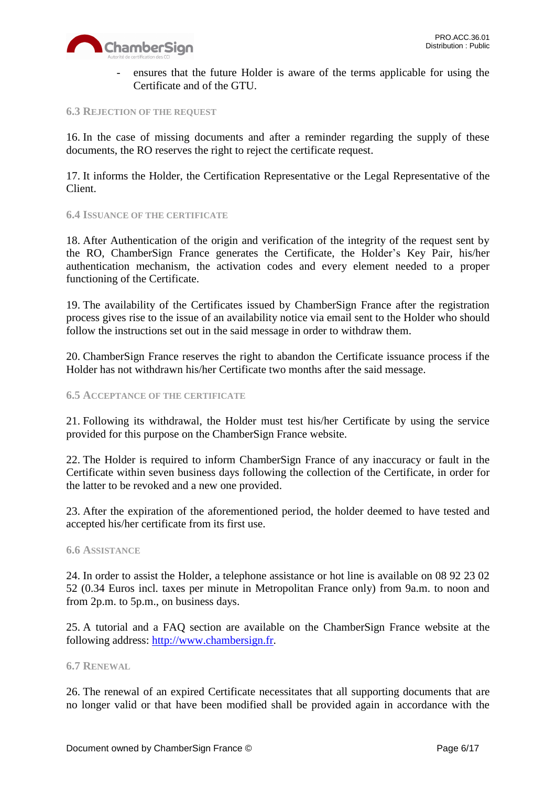

ensures that the future Holder is aware of the terms applicable for using the Certificate and of the GTU.

#### <span id="page-5-0"></span>**6.3 REJECTION OF THE REQUEST**

16. In the case of missing documents and after a reminder regarding the supply of these documents, the RO reserves the right to reject the certificate request.

17. It informs the Holder, the Certification Representative or the Legal Representative of the Client.

#### <span id="page-5-1"></span>**6.4 ISSUANCE OF THE CERTIFICATE**

18. After Authentication of the origin and verification of the integrity of the request sent by the RO, ChamberSign France generates the Certificate, the Holder's Key Pair, his/her authentication mechanism, the activation codes and every element needed to a proper functioning of the Certificate.

19. The availability of the Certificates issued by ChamberSign France after the registration process gives rise to the issue of an availability notice via email sent to the Holder who should follow the instructions set out in the said message in order to withdraw them.

20. ChamberSign France reserves the right to abandon the Certificate issuance process if the Holder has not withdrawn his/her Certificate two months after the said message.

#### <span id="page-5-2"></span>**6.5 ACCEPTANCE OF THE CERTIFICATE**

21. Following its withdrawal, the Holder must test his/her Certificate by using the service provided for this purpose on the ChamberSign France website.

22. The Holder is required to inform ChamberSign France of any inaccuracy or fault in the Certificate within seven business days following the collection of the Certificate, in order for the latter to be revoked and a new one provided.

23. After the expiration of the aforementioned period, the holder deemed to have tested and accepted his/her certificate from its first use.

#### <span id="page-5-3"></span>**6.6 ASSISTANCE**

24. In order to assist the Holder, a telephone assistance or hot line is available on 08 92 23 02 52 (0.34 Euros incl. taxes per minute in Metropolitan France only) from 9a.m. to noon and from 2p.m. to 5p.m., on business days.

25. A tutorial and a FAQ section are available on the ChamberSign France website at the following address: [http://www.chambersign.fr.](http://www.chambersign.fr/)

#### <span id="page-5-4"></span>**6.7 RENEWAL**

26. The renewal of an expired Certificate necessitates that all supporting documents that are no longer valid or that have been modified shall be provided again in accordance with the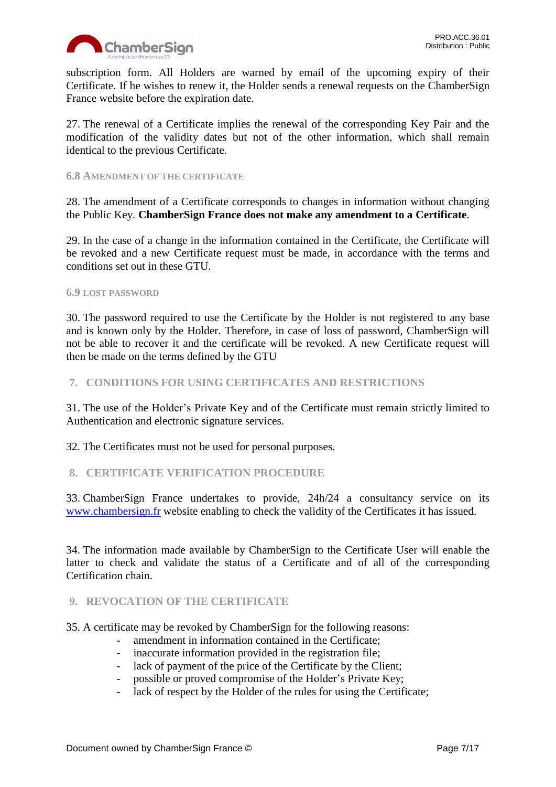

subscription form. All Holders are warned by email of the upcoming expiry of their Certificate. If he wishes to renew it, the Holder sends a renewal requests on the ChamberSign France website before the expiration date.

27. The renewal of a Certificate implies the renewal of the corresponding Key Pair and the modification of the validity dates but not of the other information, which shall remain identical to the previous Certificate.

#### <span id="page-6-0"></span>**6.8 AMENDMENT OF THE CERTIFICATE**

28. The amendment of a Certificate corresponds to changes in information without changing the Public Key. **ChamberSign France does not make any amendment to a Certificate**.

29. In the case of a change in the information contained in the Certificate, the Certificate will be revoked and a new Certificate request must be made, in accordance with the terms and conditions set out in these GTU.

#### <span id="page-6-1"></span>**6.9 LOST PASSWORD**

30. The password required to use the Certificate by the Holder is not registered to any base and is known only by the Holder. Therefore, in case of loss of password, ChamberSign will not be able to recover it and the certificate will be revoked. A new Certificate request will then be made on the terms defined by the GTU

## <span id="page-6-2"></span>**7. CONDITIONS FOR USING CERTIFICATES AND RESTRICTIONS**

31. The use of the Holder's Private Key and of the Certificate must remain strictly limited to Authentication and electronic signature services.

32. The Certificates must not be used for personal purposes.

### <span id="page-6-3"></span>**8. CERTIFICATE VERIFICATION PROCEDURE**

33. ChamberSign France undertakes to provide, 24h/24 a consultancy service on its [www.chambersign.fr](http://www.chambersign.fr/) website enabling to check the validity of the Certificates it has issued.

34. The information made available by ChamberSign to the Certificate User will enable the latter to check and validate the status of a Certificate and of all of the corresponding Certification chain.

### <span id="page-6-4"></span>**9. REVOCATION OF THE CERTIFICATE**

35. A certificate may be revoked by ChamberSign for the following reasons:

- amendment in information contained in the Certificate;
- inaccurate information provided in the registration file;
- lack of payment of the price of the Certificate by the Client;
- possible or proved compromise of the Holder's Private Key;
- lack of respect by the Holder of the rules for using the Certificate;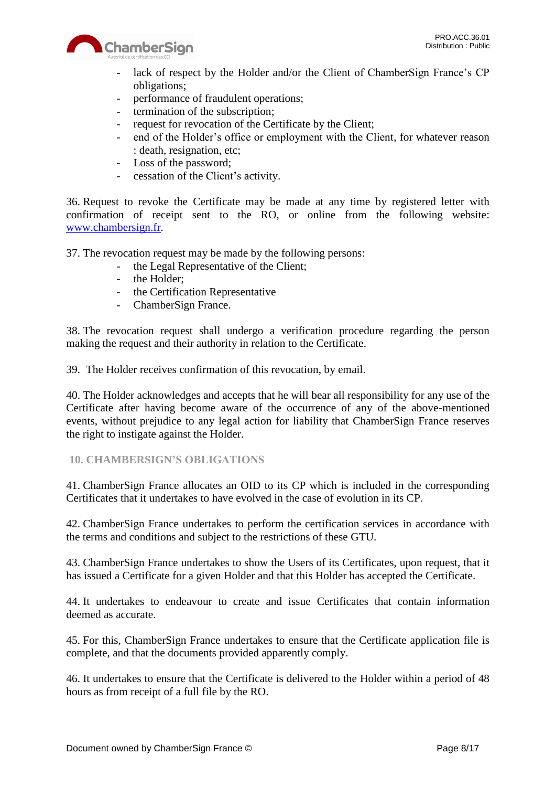

- lack of respect by the Holder and/or the Client of ChamberSign France's CP obligations;
- performance of fraudulent operations;
- termination of the subscription;
- request for revocation of the Certificate by the Client;
- end of the Holder's office or employment with the Client, for whatever reason : death, resignation, etc;
- Loss of the password;
- cessation of the Client's activity.

36. Request to revoke the Certificate may be made at any time by registered letter with confirmation of receipt sent to the RO, or online from the following website: [www.chambersign.fr.](http://www.chambersign.fr/)

37. The revocation request may be made by the following persons:

- the Legal Representative of the Client;
- the Holder;
- the Certification Representative
- ChamberSign France.

38. The revocation request shall undergo a verification procedure regarding the person making the request and their authority in relation to the Certificate.

39. The Holder receives confirmation of this revocation, by email.

40. The Holder acknowledges and accepts that he will bear all responsibility for any use of the Certificate after having become aware of the occurrence of any of the above-mentioned events, without prejudice to any legal action for liability that ChamberSign France reserves the right to instigate against the Holder.

### <span id="page-7-0"></span>**10. CHAMBERSIGN'S OBLIGATIONS**

41. ChamberSign France allocates an OID to its CP which is included in the corresponding Certificates that it undertakes to have evolved in the case of evolution in its CP.

42. ChamberSign France undertakes to perform the certification services in accordance with the terms and conditions and subject to the restrictions of these GTU.

43. ChamberSign France undertakes to show the Users of its Certificates, upon request, that it has issued a Certificate for a given Holder and that this Holder has accepted the Certificate.

44. It undertakes to endeavour to create and issue Certificates that contain information deemed as accurate.

45. For this, ChamberSign France undertakes to ensure that the Certificate application file is complete, and that the documents provided apparently comply.

46. It undertakes to ensure that the Certificate is delivered to the Holder within a period of 48 hours as from receipt of a full file by the RO.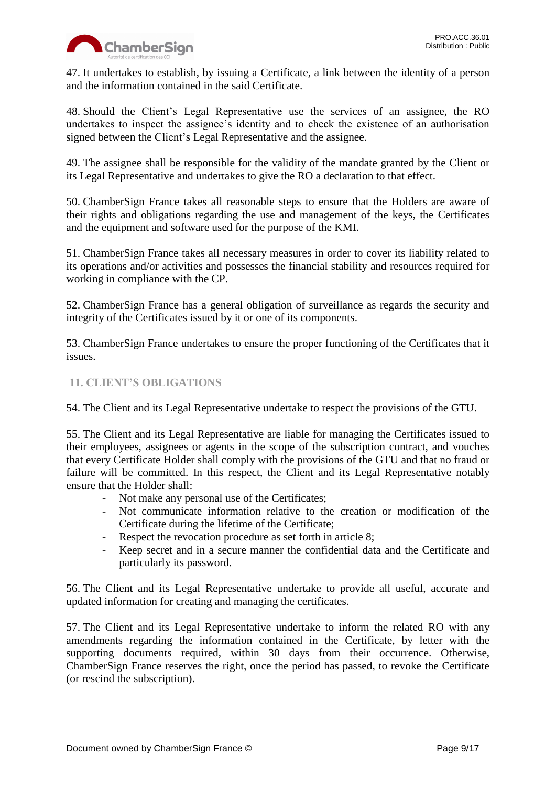

47. It undertakes to establish, by issuing a Certificate, a link between the identity of a person and the information contained in the said Certificate.

48. Should the Client's Legal Representative use the services of an assignee, the RO undertakes to inspect the assignee's identity and to check the existence of an authorisation signed between the Client's Legal Representative and the assignee.

49. The assignee shall be responsible for the validity of the mandate granted by the Client or its Legal Representative and undertakes to give the RO a declaration to that effect.

50. ChamberSign France takes all reasonable steps to ensure that the Holders are aware of their rights and obligations regarding the use and management of the keys, the Certificates and the equipment and software used for the purpose of the KMI.

51. ChamberSign France takes all necessary measures in order to cover its liability related to its operations and/or activities and possesses the financial stability and resources required for working in compliance with the CP.

52. ChamberSign France has a general obligation of surveillance as regards the security and integrity of the Certificates issued by it or one of its components.

53. ChamberSign France undertakes to ensure the proper functioning of the Certificates that it issues.

# <span id="page-8-0"></span>**11. CLIENT'S OBLIGATIONS**

54. The Client and its Legal Representative undertake to respect the provisions of the GTU.

55. The Client and its Legal Representative are liable for managing the Certificates issued to their employees, assignees or agents in the scope of the subscription contract, and vouches that every Certificate Holder shall comply with the provisions of the GTU and that no fraud or failure will be committed. In this respect, the Client and its Legal Representative notably ensure that the Holder shall:

- Not make any personal use of the Certificates;
- Not communicate information relative to the creation or modification of the Certificate during the lifetime of the Certificate;
- Respect the revocation procedure as set forth in article 8;
- Keep secret and in a secure manner the confidential data and the Certificate and particularly its password.

56. The Client and its Legal Representative undertake to provide all useful, accurate and updated information for creating and managing the certificates.

57. The Client and its Legal Representative undertake to inform the related RO with any amendments regarding the information contained in the Certificate, by letter with the supporting documents required, within 30 days from their occurrence. Otherwise, ChamberSign France reserves the right, once the period has passed, to revoke the Certificate (or rescind the subscription).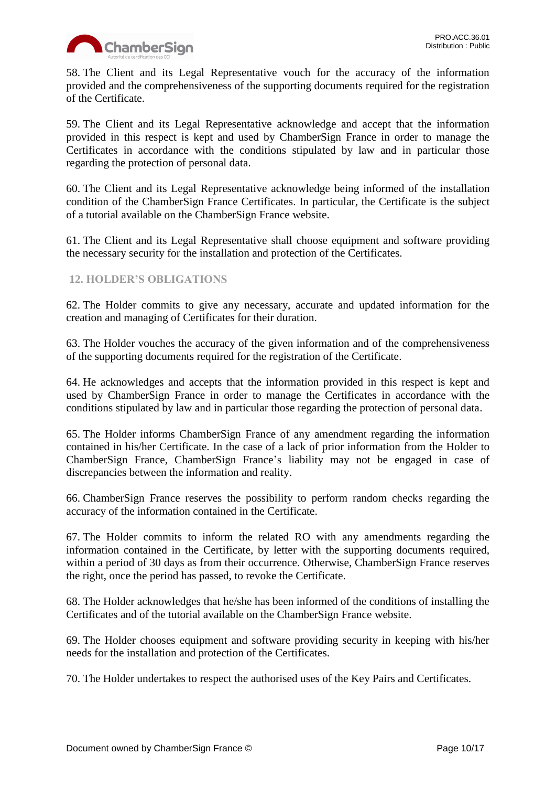

58. The Client and its Legal Representative vouch for the accuracy of the information provided and the comprehensiveness of the supporting documents required for the registration of the Certificate.

59. The Client and its Legal Representative acknowledge and accept that the information provided in this respect is kept and used by ChamberSign France in order to manage the Certificates in accordance with the conditions stipulated by law and in particular those regarding the protection of personal data.

60. The Client and its Legal Representative acknowledge being informed of the installation condition of the ChamberSign France Certificates. In particular, the Certificate is the subject of a tutorial available on the ChamberSign France website.

61. The Client and its Legal Representative shall choose equipment and software providing the necessary security for the installation and protection of the Certificates.

## <span id="page-9-0"></span>**12. HOLDER'S OBLIGATIONS**

62. The Holder commits to give any necessary, accurate and updated information for the creation and managing of Certificates for their duration.

63. The Holder vouches the accuracy of the given information and of the comprehensiveness of the supporting documents required for the registration of the Certificate.

64. He acknowledges and accepts that the information provided in this respect is kept and used by ChamberSign France in order to manage the Certificates in accordance with the conditions stipulated by law and in particular those regarding the protection of personal data.

65. The Holder informs ChamberSign France of any amendment regarding the information contained in his/her Certificate. In the case of a lack of prior information from the Holder to ChamberSign France, ChamberSign France's liability may not be engaged in case of discrepancies between the information and reality.

66. ChamberSign France reserves the possibility to perform random checks regarding the accuracy of the information contained in the Certificate.

67. The Holder commits to inform the related RO with any amendments regarding the information contained in the Certificate, by letter with the supporting documents required, within a period of 30 days as from their occurrence. Otherwise, ChamberSign France reserves the right, once the period has passed, to revoke the Certificate.

68. The Holder acknowledges that he/she has been informed of the conditions of installing the Certificates and of the tutorial available on the ChamberSign France website.

69. The Holder chooses equipment and software providing security in keeping with his/her needs for the installation and protection of the Certificates.

70. The Holder undertakes to respect the authorised uses of the Key Pairs and Certificates.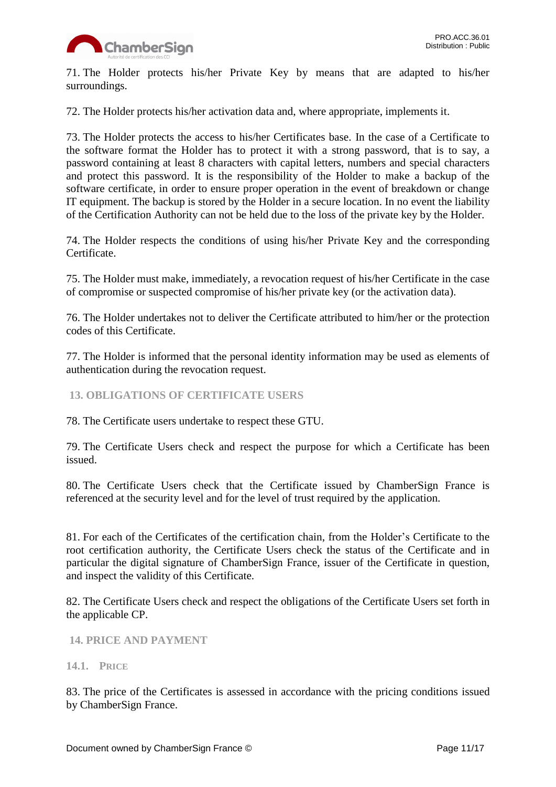

71. The Holder protects his/her Private Key by means that are adapted to his/her surroundings.

72. The Holder protects his/her activation data and, where appropriate, implements it.

73. The Holder protects the access to his/her Certificates base. In the case of a Certificate to the software format the Holder has to protect it with a strong password, that is to say, a password containing at least 8 characters with capital letters, numbers and special characters and protect this password. It is the responsibility of the Holder to make a backup of the software certificate, in order to ensure proper operation in the event of breakdown or change IT equipment. The backup is stored by the Holder in a secure location. In no event the liability of the Certification Authority can not be held due to the loss of the private key by the Holder.

74. The Holder respects the conditions of using his/her Private Key and the corresponding Certificate.

75. The Holder must make, immediately, a revocation request of his/her Certificate in the case of compromise or suspected compromise of his/her private key (or the activation data).

76. The Holder undertakes not to deliver the Certificate attributed to him/her or the protection codes of this Certificate.

77. The Holder is informed that the personal identity information may be used as elements of authentication during the revocation request.

<span id="page-10-0"></span>**13. OBLIGATIONS OF CERTIFICATE USERS**

78. The Certificate users undertake to respect these GTU.

79. The Certificate Users check and respect the purpose for which a Certificate has been issued.

80. The Certificate Users check that the Certificate issued by ChamberSign France is referenced at the security level and for the level of trust required by the application.

81. For each of the Certificates of the certification chain, from the Holder's Certificate to the root certification authority, the Certificate Users check the status of the Certificate and in particular the digital signature of ChamberSign France, issuer of the Certificate in question, and inspect the validity of this Certificate.

82. The Certificate Users check and respect the obligations of the Certificate Users set forth in the applicable CP.

<span id="page-10-1"></span>**14. PRICE AND PAYMENT**

#### <span id="page-10-2"></span>**14.1. PRICE**

83. The price of the Certificates is assessed in accordance with the pricing conditions issued by ChamberSign France.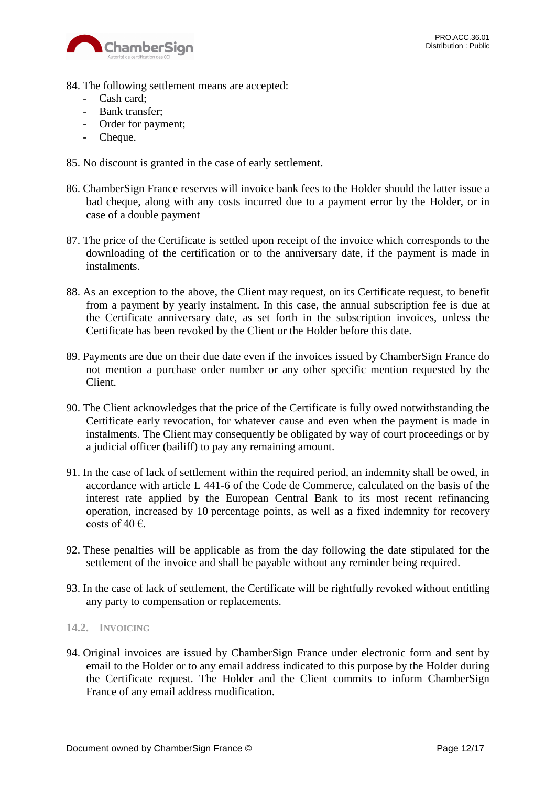

- 84. The following settlement means are accepted:
	- Cash card;
	- Bank transfer;
	- Order for payment;
	- Cheque.
- 85. No discount is granted in the case of early settlement.
- 86. ChamberSign France reserves will invoice bank fees to the Holder should the latter issue a bad cheque, along with any costs incurred due to a payment error by the Holder, or in case of a double payment
- 87. The price of the Certificate is settled upon receipt of the invoice which corresponds to the downloading of the certification or to the anniversary date, if the payment is made in instalments.
- 88. As an exception to the above, the Client may request, on its Certificate request, to benefit from a payment by yearly instalment. In this case, the annual subscription fee is due at the Certificate anniversary date, as set forth in the subscription invoices, unless the Certificate has been revoked by the Client or the Holder before this date.
- 89. Payments are due on their due date even if the invoices issued by ChamberSign France do not mention a purchase order number or any other specific mention requested by the Client.
- 90. The Client acknowledges that the price of the Certificate is fully owed notwithstanding the Certificate early revocation, for whatever cause and even when the payment is made in instalments. The Client may consequently be obligated by way of court proceedings or by a judicial officer (bailiff) to pay any remaining amount.
- 91. In the case of lack of settlement within the required period, an indemnity shall be owed, in accordance with article L 441-6 of the Code de Commerce, calculated on the basis of the interest rate applied by the European Central Bank to its most recent refinancing operation, increased by 10 percentage points, as well as a fixed indemnity for recovery costs of 40  $\epsilon$ .
- 92. These penalties will be applicable as from the day following the date stipulated for the settlement of the invoice and shall be payable without any reminder being required.
- 93. In the case of lack of settlement, the Certificate will be rightfully revoked without entitling any party to compensation or replacements.

#### <span id="page-11-0"></span>**14.2. INVOICING**

94. Original invoices are issued by ChamberSign France under electronic form and sent by email to the Holder or to any email address indicated to this purpose by the Holder during the Certificate request. The Holder and the Client commits to inform ChamberSign France of any email address modification.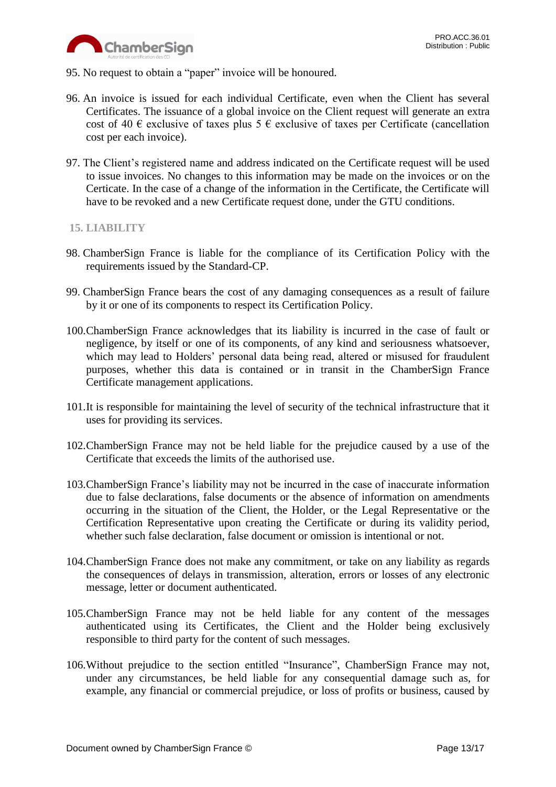

- 95. No request to obtain a "paper" invoice will be honoured.
- 96. An invoice is issued for each individual Certificate, even when the Client has several Certificates. The issuance of a global invoice on the Client request will generate an extra cost of 40  $\epsilon$  exclusive of taxes plus 5  $\epsilon$  exclusive of taxes per Certificate (cancellation cost per each invoice).
- 97. The Client's registered name and address indicated on the Certificate request will be used to issue invoices. No changes to this information may be made on the invoices or on the Certicate. In the case of a change of the information in the Certificate, the Certificate will have to be revoked and a new Certificate request done, under the GTU conditions.

### <span id="page-12-0"></span>**15. LIABILITY**

- 98. ChamberSign France is liable for the compliance of its Certification Policy with the requirements issued by the Standard-CP.
- 99. ChamberSign France bears the cost of any damaging consequences as a result of failure by it or one of its components to respect its Certification Policy.
- 100.ChamberSign France acknowledges that its liability is incurred in the case of fault or negligence, by itself or one of its components, of any kind and seriousness whatsoever, which may lead to Holders' personal data being read, altered or misused for fraudulent purposes, whether this data is contained or in transit in the ChamberSign France Certificate management applications.
- 101.It is responsible for maintaining the level of security of the technical infrastructure that it uses for providing its services.
- 102.ChamberSign France may not be held liable for the prejudice caused by a use of the Certificate that exceeds the limits of the authorised use.
- 103.ChamberSign France's liability may not be incurred in the case of inaccurate information due to false declarations, false documents or the absence of information on amendments occurring in the situation of the Client, the Holder, or the Legal Representative or the Certification Representative upon creating the Certificate or during its validity period, whether such false declaration, false document or omission is intentional or not.
- 104.ChamberSign France does not make any commitment, or take on any liability as regards the consequences of delays in transmission, alteration, errors or losses of any electronic message, letter or document authenticated.
- 105.ChamberSign France may not be held liable for any content of the messages authenticated using its Certificates, the Client and the Holder being exclusively responsible to third party for the content of such messages.
- 106.Without prejudice to the section entitled "Insurance", ChamberSign France may not, under any circumstances, be held liable for any consequential damage such as, for example, any financial or commercial prejudice, or loss of profits or business, caused by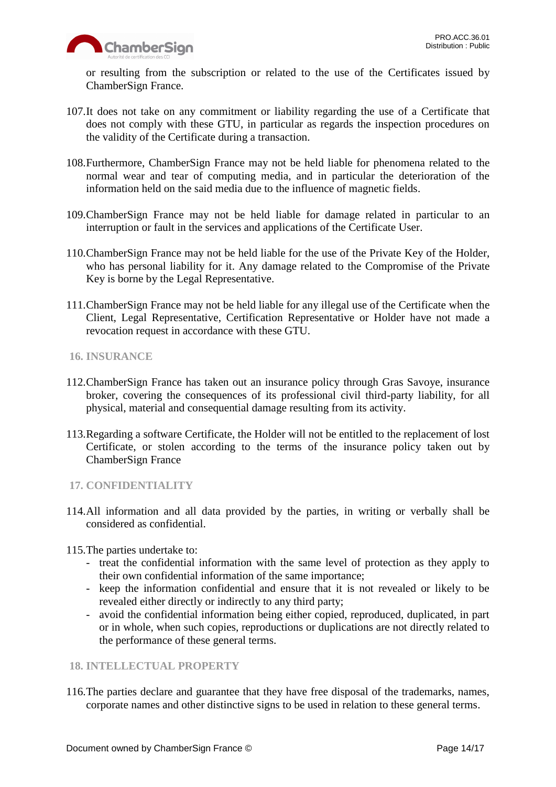

or resulting from the subscription or related to the use of the Certificates issued by ChamberSign France.

- 107.It does not take on any commitment or liability regarding the use of a Certificate that does not comply with these GTU, in particular as regards the inspection procedures on the validity of the Certificate during a transaction.
- 108.Furthermore, ChamberSign France may not be held liable for phenomena related to the normal wear and tear of computing media, and in particular the deterioration of the information held on the said media due to the influence of magnetic fields.
- 109.ChamberSign France may not be held liable for damage related in particular to an interruption or fault in the services and applications of the Certificate User.
- 110.ChamberSign France may not be held liable for the use of the Private Key of the Holder, who has personal liability for it. Any damage related to the Compromise of the Private Key is borne by the Legal Representative.
- 111.ChamberSign France may not be held liable for any illegal use of the Certificate when the Client, Legal Representative, Certification Representative or Holder have not made a revocation request in accordance with these GTU.
- <span id="page-13-0"></span>**16. INSURANCE**
- 112.ChamberSign France has taken out an insurance policy through Gras Savoye, insurance broker, covering the consequences of its professional civil third-party liability, for all physical, material and consequential damage resulting from its activity.
- 113.Regarding a software Certificate, the Holder will not be entitled to the replacement of lost Certificate, or stolen according to the terms of the insurance policy taken out by ChamberSign France

### <span id="page-13-1"></span>**17. CONFIDENTIALITY**

114.All information and all data provided by the parties, in writing or verbally shall be considered as confidential.

115.The parties undertake to:

- treat the confidential information with the same level of protection as they apply to their own confidential information of the same importance;
- keep the information confidential and ensure that it is not revealed or likely to be revealed either directly or indirectly to any third party;
- avoid the confidential information being either copied, reproduced, duplicated, in part or in whole, when such copies, reproductions or duplications are not directly related to the performance of these general terms.

# <span id="page-13-2"></span>**18. INTELLECTUAL PROPERTY**

116.The parties declare and guarantee that they have free disposal of the trademarks, names, corporate names and other distinctive signs to be used in relation to these general terms.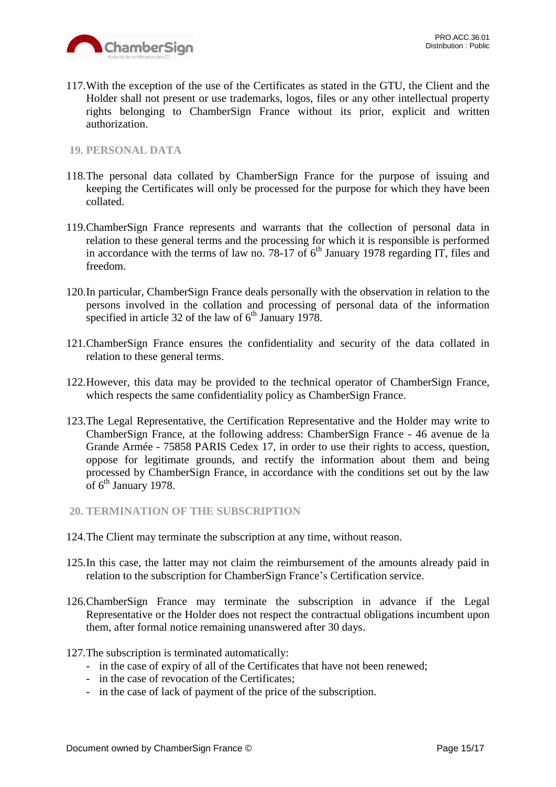

117.With the exception of the use of the Certificates as stated in the GTU, the Client and the Holder shall not present or use trademarks, logos, files or any other intellectual property rights belonging to ChamberSign France without its prior, explicit and written authorization.

### <span id="page-14-0"></span>**19. PERSONAL DATA**

- 118.The personal data collated by ChamberSign France for the purpose of issuing and keeping the Certificates will only be processed for the purpose for which they have been collated.
- 119.ChamberSign France represents and warrants that the collection of personal data in relation to these general terms and the processing for which it is responsible is performed in accordance with the terms of law no. 78-17 of  $6<sup>th</sup>$  January 1978 regarding IT, files and freedom.
- 120.In particular, ChamberSign France deals personally with the observation in relation to the persons involved in the collation and processing of personal data of the information specified in article 32 of the law of  $6<sup>th</sup>$  January 1978.
- 121.ChamberSign France ensures the confidentiality and security of the data collated in relation to these general terms.
- 122.However, this data may be provided to the technical operator of ChamberSign France, which respects the same confidentiality policy as ChamberSign France.
- 123.The Legal Representative, the Certification Representative and the Holder may write to ChamberSign France, at the following address: ChamberSign France - 46 avenue de la Grande Armée - 75858 PARIS Cedex 17, in order to use their rights to access, question, oppose for legitimate grounds, and rectify the information about them and being processed by ChamberSign France, in accordance with the conditions set out by the law of 6<sup>th</sup> January 1978.
- <span id="page-14-1"></span>**20. TERMINATION OF THE SUBSCRIPTION**
- 124.The Client may terminate the subscription at any time, without reason.
- 125.In this case, the latter may not claim the reimbursement of the amounts already paid in relation to the subscription for ChamberSign France's Certification service.
- 126.ChamberSign France may terminate the subscription in advance if the Legal Representative or the Holder does not respect the contractual obligations incumbent upon them, after formal notice remaining unanswered after 30 days.
- 127.The subscription is terminated automatically:
	- in the case of expiry of all of the Certificates that have not been renewed;
	- in the case of revocation of the Certificates;
	- in the case of lack of payment of the price of the subscription.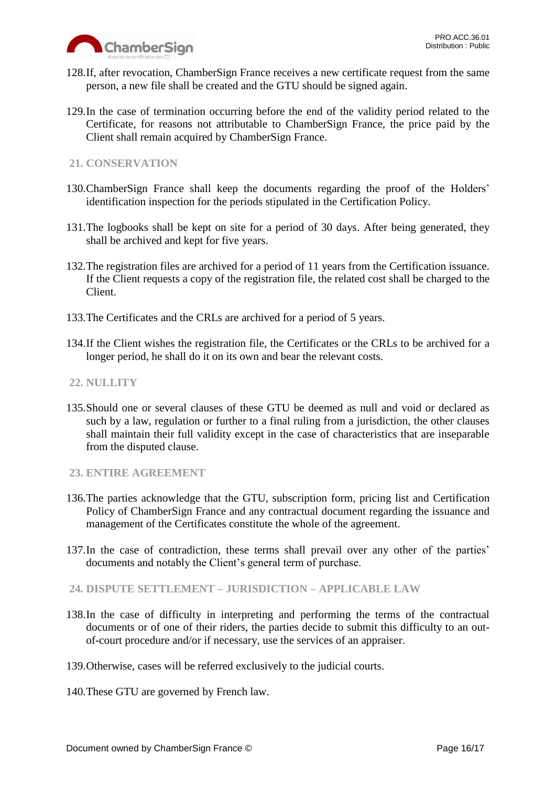

- 128.If, after revocation, ChamberSign France receives a new certificate request from the same person, a new file shall be created and the GTU should be signed again.
- 129.In the case of termination occurring before the end of the validity period related to the Certificate, for reasons not attributable to ChamberSign France, the price paid by the Client shall remain acquired by ChamberSign France.

# <span id="page-15-0"></span>**21. CONSERVATION**

- 130.ChamberSign France shall keep the documents regarding the proof of the Holders' identification inspection for the periods stipulated in the Certification Policy.
- 131.The logbooks shall be kept on site for a period of 30 days. After being generated, they shall be archived and kept for five years.
- 132.The registration files are archived for a period of 11 years from the Certification issuance. If the Client requests a copy of the registration file, the related cost shall be charged to the Client.
- 133.The Certificates and the CRLs are archived for a period of 5 years.
- 134.If the Client wishes the registration file, the Certificates or the CRLs to be archived for a longer period, he shall do it on its own and bear the relevant costs.

## <span id="page-15-1"></span>**22. NULLITY**

135.Should one or several clauses of these GTU be deemed as null and void or declared as such by a law, regulation or further to a final ruling from a jurisdiction, the other clauses shall maintain their full validity except in the case of characteristics that are inseparable from the disputed clause.

### <span id="page-15-2"></span>**23. ENTIRE AGREEMENT**

- 136.The parties acknowledge that the GTU, subscription form, pricing list and Certification Policy of ChamberSign France and any contractual document regarding the issuance and management of the Certificates constitute the whole of the agreement.
- 137.In the case of contradiction, these terms shall prevail over any other of the parties' documents and notably the Client's general term of purchase.
- <span id="page-15-3"></span>**24. DISPUTE SETTLEMENT – JURISDICTION – APPLICABLE LAW**
- 138.In the case of difficulty in interpreting and performing the terms of the contractual documents or of one of their riders, the parties decide to submit this difficulty to an outof-court procedure and/or if necessary, use the services of an appraiser.
- 139.Otherwise, cases will be referred exclusively to the judicial courts.
- 140.These GTU are governed by French law.